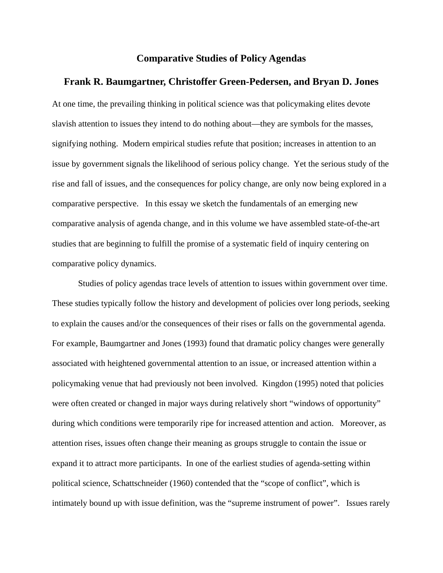## **Comparative Studies of Policy Agendas**

## **Frank R. Baumgartner, Christoffer Green-Pedersen, and Bryan D. Jones**

At one time, the prevailing thinking in political science was that policymaking elites devote slavish attention to issues they intend to do nothing about—they are symbols for the masses, signifying nothing. Modern empirical studies refute that position; increases in attention to an issue by government signals the likelihood of serious policy change. Yet the serious study of the rise and fall of issues, and the consequences for policy change, are only now being explored in a comparative perspective. In this essay we sketch the fundamentals of an emerging new comparative analysis of agenda change, and in this volume we have assembled state-of-the-art studies that are beginning to fulfill the promise of a systematic field of inquiry centering on comparative policy dynamics.

Studies of policy agendas trace levels of attention to issues within government over time. These studies typically follow the history and development of policies over long periods, seeking to explain the causes and/or the consequences of their rises or falls on the governmental agenda. For example, Baumgartner and Jones (1993) found that dramatic policy changes were generally associated with heightened governmental attention to an issue, or increased attention within a policymaking venue that had previously not been involved. Kingdon (1995) noted that policies were often created or changed in major ways during relatively short "windows of opportunity" during which conditions were temporarily ripe for increased attention and action. Moreover, as attention rises, issues often change their meaning as groups struggle to contain the issue or expand it to attract more participants. In one of the earliest studies of agenda-setting within political science, Schattschneider (1960) contended that the "scope of conflict", which is intimately bound up with issue definition, was the "supreme instrument of power". Issues rarely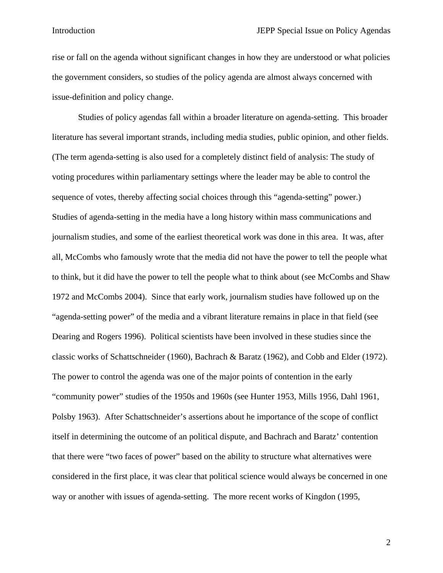rise or fall on the agenda without significant changes in how they are understood or what policies the government considers, so studies of the policy agenda are almost always concerned with issue-definition and policy change.

Studies of policy agendas fall within a broader literature on agenda-setting. This broader literature has several important strands, including media studies, public opinion, and other fields. (The term agenda-setting is also used for a completely distinct field of analysis: The study of voting procedures within parliamentary settings where the leader may be able to control the sequence of votes, thereby affecting social choices through this "agenda-setting" power.) Studies of agenda-setting in the media have a long history within mass communications and journalism studies, and some of the earliest theoretical work was done in this area. It was, after all, McCombs who famously wrote that the media did not have the power to tell the people what to think, but it did have the power to tell the people what to think about (see McCombs and Shaw 1972 and McCombs 2004). Since that early work, journalism studies have followed up on the "agenda-setting power" of the media and a vibrant literature remains in place in that field (see Dearing and Rogers 1996). Political scientists have been involved in these studies since the classic works of Schattschneider (1960), Bachrach & Baratz (1962), and Cobb and Elder (1972). The power to control the agenda was one of the major points of contention in the early "community power" studies of the 1950s and 1960s (see Hunter 1953, Mills 1956, Dahl 1961, Polsby 1963). After Schattschneider's assertions about he importance of the scope of conflict itself in determining the outcome of an political dispute, and Bachrach and Baratz' contention that there were "two faces of power" based on the ability to structure what alternatives were considered in the first place, it was clear that political science would always be concerned in one way or another with issues of agenda-setting. The more recent works of Kingdon (1995,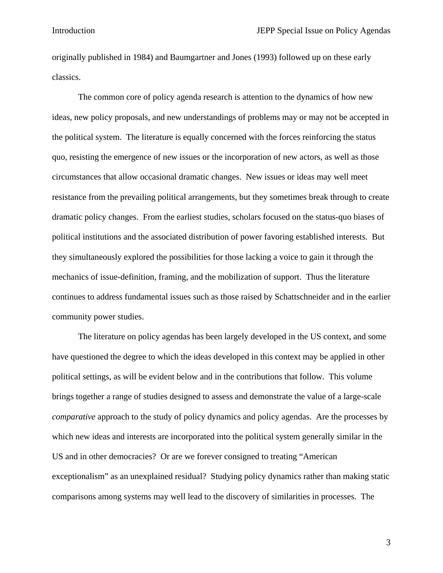originally published in 1984) and Baumgartner and Jones (1993) followed up on these early classics.

The common core of policy agenda research is attention to the dynamics of how new ideas, new policy proposals, and new understandings of problems may or may not be accepted in the political system. The literature is equally concerned with the forces reinforcing the status quo, resisting the emergence of new issues or the incorporation of new actors, as well as those circumstances that allow occasional dramatic changes. New issues or ideas may well meet resistance from the prevailing political arrangements, but they sometimes break through to create dramatic policy changes. From the earliest studies, scholars focused on the status-quo biases of political institutions and the associated distribution of power favoring established interests. But they simultaneously explored the possibilities for those lacking a voice to gain it through the mechanics of issue-definition, framing, and the mobilization of support. Thus the literature continues to address fundamental issues such as those raised by Schattschneider and in the earlier community power studies.

The literature on policy agendas has been largely developed in the US context, and some have questioned the degree to which the ideas developed in this context may be applied in other political settings, as will be evident below and in the contributions that follow. This volume brings together a range of studies designed to assess and demonstrate the value of a large-scale *comparative* approach to the study of policy dynamics and policy agendas. Are the processes by which new ideas and interests are incorporated into the political system generally similar in the US and in other democracies? Or are we forever consigned to treating "American exceptionalism" as an unexplained residual? Studying policy dynamics rather than making static comparisons among systems may well lead to the discovery of similarities in processes. The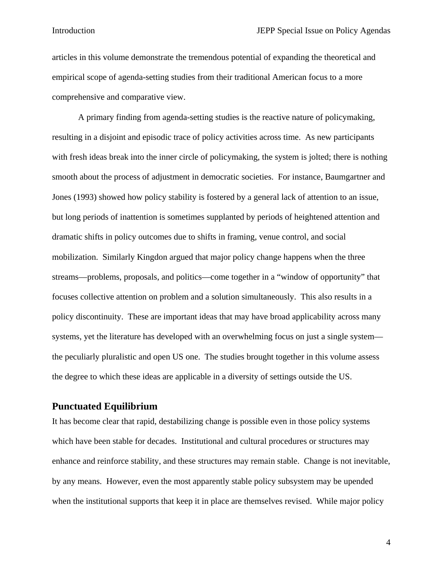articles in this volume demonstrate the tremendous potential of expanding the theoretical and empirical scope of agenda-setting studies from their traditional American focus to a more comprehensive and comparative view.

A primary finding from agenda-setting studies is the reactive nature of policymaking, resulting in a disjoint and episodic trace of policy activities across time. As new participants with fresh ideas break into the inner circle of policymaking, the system is jolted; there is nothing smooth about the process of adjustment in democratic societies. For instance, Baumgartner and Jones (1993) showed how policy stability is fostered by a general lack of attention to an issue, but long periods of inattention is sometimes supplanted by periods of heightened attention and dramatic shifts in policy outcomes due to shifts in framing, venue control, and social mobilization. Similarly Kingdon argued that major policy change happens when the three streams—problems, proposals, and politics—come together in a "window of opportunity" that focuses collective attention on problem and a solution simultaneously. This also results in a policy discontinuity. These are important ideas that may have broad applicability across many systems, yet the literature has developed with an overwhelming focus on just a single system the peculiarly pluralistic and open US one. The studies brought together in this volume assess the degree to which these ideas are applicable in a diversity of settings outside the US.

## **Punctuated Equilibrium**

It has become clear that rapid, destabilizing change is possible even in those policy systems which have been stable for decades. Institutional and cultural procedures or structures may enhance and reinforce stability, and these structures may remain stable. Change is not inevitable, by any means. However, even the most apparently stable policy subsystem may be upended when the institutional supports that keep it in place are themselves revised. While major policy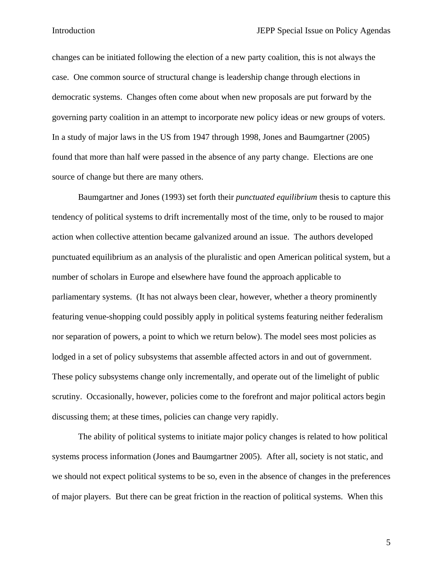changes can be initiated following the election of a new party coalition, this is not always the case. One common source of structural change is leadership change through elections in democratic systems. Changes often come about when new proposals are put forward by the governing party coalition in an attempt to incorporate new policy ideas or new groups of voters. In a study of major laws in the US from 1947 through 1998, Jones and Baumgartner (2005) found that more than half were passed in the absence of any party change. Elections are one source of change but there are many others.

Baumgartner and Jones (1993) set forth their *punctuated equilibrium* thesis to capture this tendency of political systems to drift incrementally most of the time, only to be roused to major action when collective attention became galvanized around an issue. The authors developed punctuated equilibrium as an analysis of the pluralistic and open American political system, but a number of scholars in Europe and elsewhere have found the approach applicable to parliamentary systems. (It has not always been clear, however, whether a theory prominently featuring venue-shopping could possibly apply in political systems featuring neither federalism nor separation of powers, a point to which we return below). The model sees most policies as lodged in a set of policy subsystems that assemble affected actors in and out of government. These policy subsystems change only incrementally, and operate out of the limelight of public scrutiny. Occasionally, however, policies come to the forefront and major political actors begin discussing them; at these times, policies can change very rapidly.

The ability of political systems to initiate major policy changes is related to how political systems process information (Jones and Baumgartner 2005). After all, society is not static, and we should not expect political systems to be so, even in the absence of changes in the preferences of major players. But there can be great friction in the reaction of political systems. When this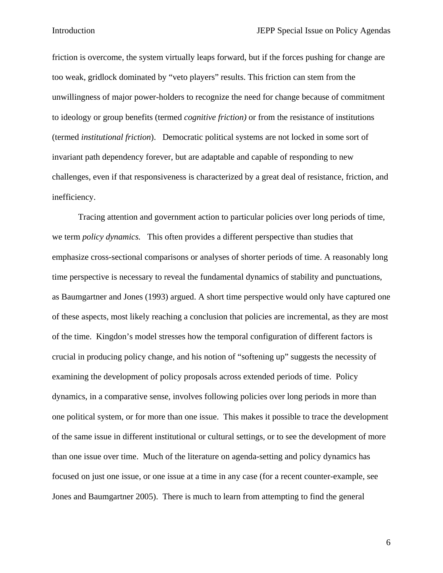friction is overcome, the system virtually leaps forward, but if the forces pushing for change are too weak, gridlock dominated by "veto players" results. This friction can stem from the unwillingness of major power-holders to recognize the need for change because of commitment to ideology or group benefits (termed *cognitive friction)* or from the resistance of institutions (termed *institutional friction*). Democratic political systems are not locked in some sort of invariant path dependency forever, but are adaptable and capable of responding to new challenges, even if that responsiveness is characterized by a great deal of resistance, friction, and inefficiency.

Tracing attention and government action to particular policies over long periods of time, we term *policy dynamics.* This often provides a different perspective than studies that emphasize cross-sectional comparisons or analyses of shorter periods of time. A reasonably long time perspective is necessary to reveal the fundamental dynamics of stability and punctuations, as Baumgartner and Jones (1993) argued. A short time perspective would only have captured one of these aspects, most likely reaching a conclusion that policies are incremental, as they are most of the time. Kingdon's model stresses how the temporal configuration of different factors is crucial in producing policy change, and his notion of "softening up" suggests the necessity of examining the development of policy proposals across extended periods of time. Policy dynamics, in a comparative sense, involves following policies over long periods in more than one political system, or for more than one issue. This makes it possible to trace the development of the same issue in different institutional or cultural settings, or to see the development of more than one issue over time. Much of the literature on agenda-setting and policy dynamics has focused on just one issue, or one issue at a time in any case (for a recent counter-example, see Jones and Baumgartner 2005). There is much to learn from attempting to find the general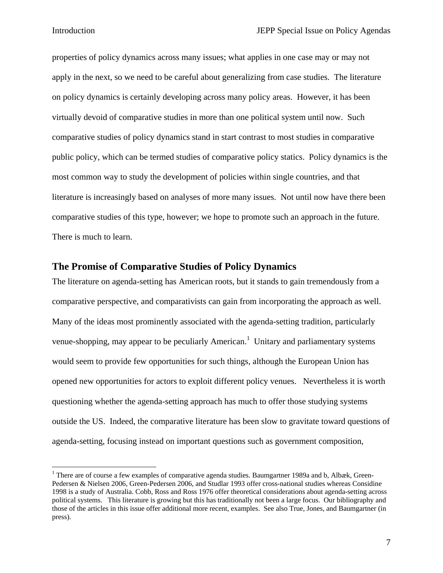1

properties of policy dynamics across many issues; what applies in one case may or may not apply in the next, so we need to be careful about generalizing from case studies. The literature on policy dynamics is certainly developing across many policy areas. However, it has been virtually devoid of comparative studies in more than one political system until now. Such comparative studies of policy dynamics stand in start contrast to most studies in comparative public policy, which can be termed studies of comparative policy statics. Policy dynamics is the most common way to study the development of policies within single countries, and that literature is increasingly based on analyses of more many issues. Not until now have there been comparative studies of this type, however; we hope to promote such an approach in the future. There is much to learn.

# **The Promise of Comparative Studies of Policy Dynamics**

The literature on agenda-setting has American roots, but it stands to gain tremendously from a comparative perspective, and comparativists can gain from incorporating the approach as well. Many of the ideas most prominently associated with the agenda-setting tradition, particularly venue-shopping, may appear to be peculiarly American.<sup>[1](#page-6-0)</sup> Unitary and parliamentary systems would seem to provide few opportunities for such things, although the European Union has opened new opportunities for actors to exploit different policy venues. Nevertheless it is worth questioning whether the agenda-setting approach has much to offer those studying systems outside the US. Indeed, the comparative literature has been slow to gravitate toward questions of agenda-setting, focusing instead on important questions such as government composition,

<span id="page-6-0"></span><sup>&</sup>lt;sup>1</sup> There are of course a few examples of comparative agenda studies. Baumgartner 1989a and b, Albæk, Green-Pedersen & Nielsen 2006, Green-Pedersen 2006, and Studlar 1993 offer cross-national studies whereas Considine 1998 is a study of Australia. Cobb, Ross and Ross 1976 offer theoretical considerations about agenda-setting across political systems. This literature is growing but this has traditionally not been a large focus. Our bibliography and those of the articles in this issue offer additional more recent, examples. See also True, Jones, and Baumgartner (in press).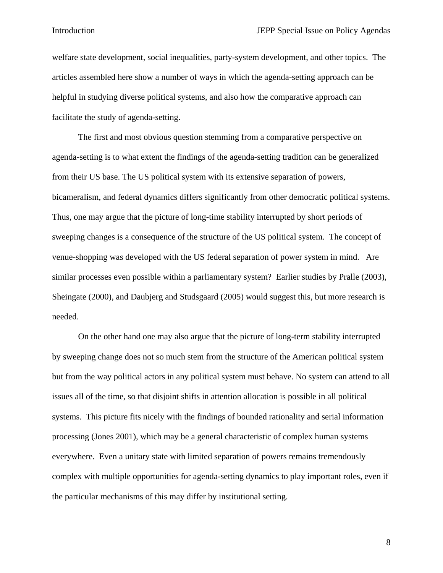welfare state development, social inequalities, party-system development, and other topics. The articles assembled here show a number of ways in which the agenda-setting approach can be helpful in studying diverse political systems, and also how the comparative approach can facilitate the study of agenda-setting.

The first and most obvious question stemming from a comparative perspective on agenda-setting is to what extent the findings of the agenda-setting tradition can be generalized from their US base. The US political system with its extensive separation of powers, bicameralism, and federal dynamics differs significantly from other democratic political systems. Thus, one may argue that the picture of long-time stability interrupted by short periods of sweeping changes is a consequence of the structure of the US political system. The concept of venue-shopping was developed with the US federal separation of power system in mind. Are similar processes even possible within a parliamentary system? Earlier studies by Pralle (2003), Sheingate (2000), and Daubjerg and Studsgaard (2005) would suggest this, but more research is needed.

On the other hand one may also argue that the picture of long-term stability interrupted by sweeping change does not so much stem from the structure of the American political system but from the way political actors in any political system must behave. No system can attend to all issues all of the time, so that disjoint shifts in attention allocation is possible in all political systems. This picture fits nicely with the findings of bounded rationality and serial information processing (Jones 2001), which may be a general characteristic of complex human systems everywhere. Even a unitary state with limited separation of powers remains tremendously complex with multiple opportunities for agenda-setting dynamics to play important roles, even if the particular mechanisms of this may differ by institutional setting.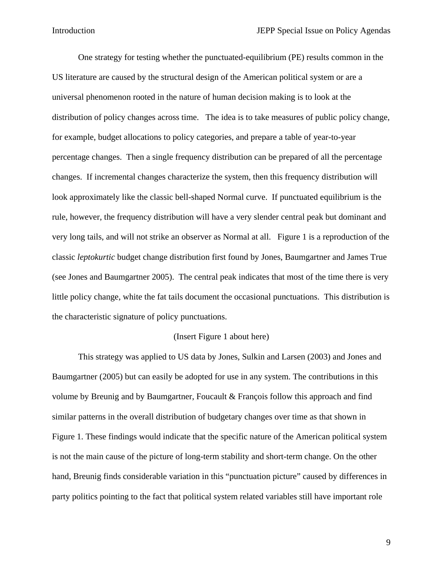One strategy for testing whether the punctuated-equilibrium (PE) results common in the US literature are caused by the structural design of the American political system or are a universal phenomenon rooted in the nature of human decision making is to look at the distribution of policy changes across time. The idea is to take measures of public policy change, for example, budget allocations to policy categories, and prepare a table of year-to-year percentage changes. Then a single frequency distribution can be prepared of all the percentage changes. If incremental changes characterize the system, then this frequency distribution will look approximately like the classic bell-shaped Normal curve. If punctuated equilibrium is the rule, however, the frequency distribution will have a very slender central peak but dominant and very long tails, and will not strike an observer as Normal at all. Figure 1 is a reproduction of the classic *leptokurtic* budget change distribution first found by Jones, Baumgartner and James True (see Jones and Baumgartner 2005). The central peak indicates that most of the time there is very little policy change, white the fat tails document the occasional punctuations. This distribution is the characteristic signature of policy punctuations.

### (Insert Figure 1 about here)

This strategy was applied to US data by Jones, Sulkin and Larsen (2003) and Jones and Baumgartner (2005) but can easily be adopted for use in any system. The contributions in this volume by Breunig and by Baumgartner, Foucault & François follow this approach and find similar patterns in the overall distribution of budgetary changes over time as that shown in Figure 1. These findings would indicate that the specific nature of the American political system is not the main cause of the picture of long-term stability and short-term change. On the other hand, Breunig finds considerable variation in this "punctuation picture" caused by differences in party politics pointing to the fact that political system related variables still have important role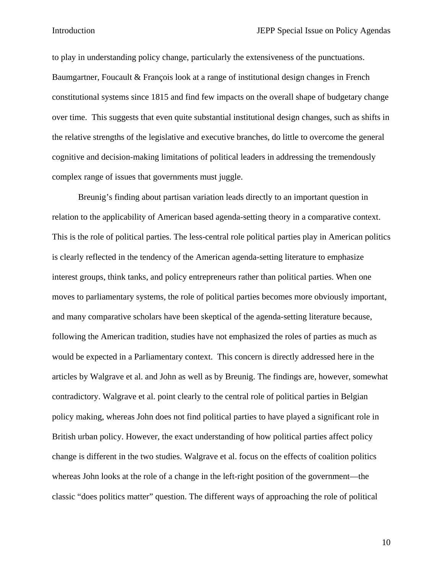to play in understanding policy change, particularly the extensiveness of the punctuations. Baumgartner, Foucault & François look at a range of institutional design changes in French constitutional systems since 1815 and find few impacts on the overall shape of budgetary change over time. This suggests that even quite substantial institutional design changes, such as shifts in the relative strengths of the legislative and executive branches, do little to overcome the general cognitive and decision-making limitations of political leaders in addressing the tremendously complex range of issues that governments must juggle.

Breunig's finding about partisan variation leads directly to an important question in relation to the applicability of American based agenda-setting theory in a comparative context. This is the role of political parties. The less-central role political parties play in American politics is clearly reflected in the tendency of the American agenda-setting literature to emphasize interest groups, think tanks, and policy entrepreneurs rather than political parties. When one moves to parliamentary systems, the role of political parties becomes more obviously important, and many comparative scholars have been skeptical of the agenda-setting literature because, following the American tradition, studies have not emphasized the roles of parties as much as would be expected in a Parliamentary context. This concern is directly addressed here in the articles by Walgrave et al. and John as well as by Breunig. The findings are, however, somewhat contradictory. Walgrave et al. point clearly to the central role of political parties in Belgian policy making, whereas John does not find political parties to have played a significant role in British urban policy. However, the exact understanding of how political parties affect policy change is different in the two studies. Walgrave et al. focus on the effects of coalition politics whereas John looks at the role of a change in the left-right position of the government—the classic "does politics matter" question. The different ways of approaching the role of political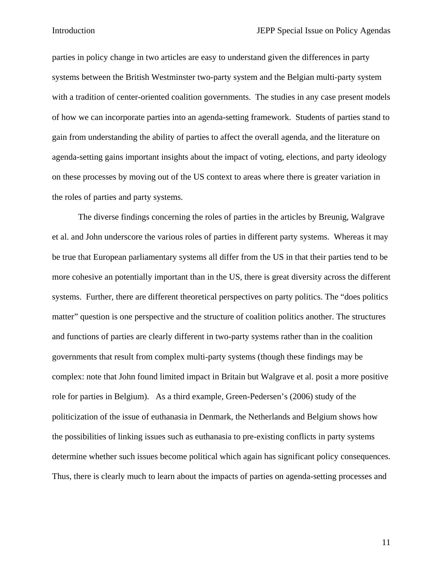parties in policy change in two articles are easy to understand given the differences in party systems between the British Westminster two-party system and the Belgian multi-party system with a tradition of center-oriented coalition governments. The studies in any case present models of how we can incorporate parties into an agenda-setting framework. Students of parties stand to gain from understanding the ability of parties to affect the overall agenda, and the literature on agenda-setting gains important insights about the impact of voting, elections, and party ideology on these processes by moving out of the US context to areas where there is greater variation in the roles of parties and party systems.

The diverse findings concerning the roles of parties in the articles by Breunig, Walgrave et al. and John underscore the various roles of parties in different party systems. Whereas it may be true that European parliamentary systems all differ from the US in that their parties tend to be more cohesive an potentially important than in the US, there is great diversity across the different systems. Further, there are different theoretical perspectives on party politics. The "does politics matter" question is one perspective and the structure of coalition politics another. The structures and functions of parties are clearly different in two-party systems rather than in the coalition governments that result from complex multi-party systems (though these findings may be complex: note that John found limited impact in Britain but Walgrave et al. posit a more positive role for parties in Belgium). As a third example, Green-Pedersen's (2006) study of the politicization of the issue of euthanasia in Denmark, the Netherlands and Belgium shows how the possibilities of linking issues such as euthanasia to pre-existing conflicts in party systems determine whether such issues become political which again has significant policy consequences. Thus, there is clearly much to learn about the impacts of parties on agenda-setting processes and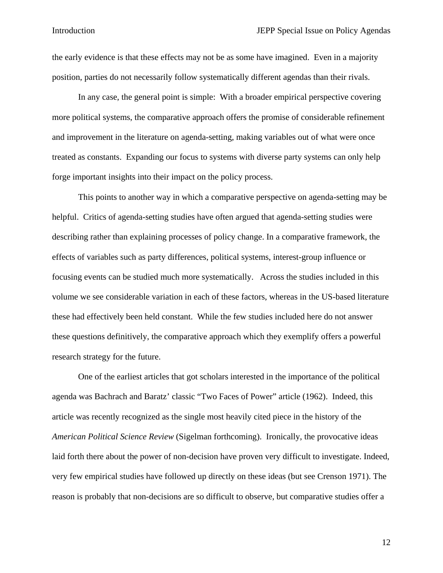the early evidence is that these effects may not be as some have imagined. Even in a majority position, parties do not necessarily follow systematically different agendas than their rivals.

In any case, the general point is simple: With a broader empirical perspective covering more political systems, the comparative approach offers the promise of considerable refinement and improvement in the literature on agenda-setting, making variables out of what were once treated as constants. Expanding our focus to systems with diverse party systems can only help forge important insights into their impact on the policy process.

This points to another way in which a comparative perspective on agenda-setting may be helpful. Critics of agenda-setting studies have often argued that agenda-setting studies were describing rather than explaining processes of policy change. In a comparative framework, the effects of variables such as party differences, political systems, interest-group influence or focusing events can be studied much more systematically. Across the studies included in this volume we see considerable variation in each of these factors, whereas in the US-based literature these had effectively been held constant. While the few studies included here do not answer these questions definitively, the comparative approach which they exemplify offers a powerful research strategy for the future.

One of the earliest articles that got scholars interested in the importance of the political agenda was Bachrach and Baratz' classic "Two Faces of Power" article (1962). Indeed, this article was recently recognized as the single most heavily cited piece in the history of the *American Political Science Review* (Sigelman forthcoming). Ironically, the provocative ideas laid forth there about the power of non-decision have proven very difficult to investigate. Indeed, very few empirical studies have followed up directly on these ideas (but see Crenson 1971). The reason is probably that non-decisions are so difficult to observe, but comparative studies offer a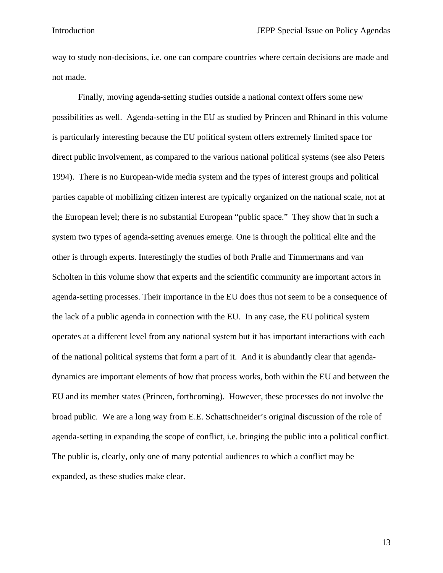way to study non-decisions, i.e. one can compare countries where certain decisions are made and not made.

Finally, moving agenda-setting studies outside a national context offers some new possibilities as well. Agenda-setting in the EU as studied by Princen and Rhinard in this volume is particularly interesting because the EU political system offers extremely limited space for direct public involvement, as compared to the various national political systems (see also Peters 1994). There is no European-wide media system and the types of interest groups and political parties capable of mobilizing citizen interest are typically organized on the national scale, not at the European level; there is no substantial European "public space." They show that in such a system two types of agenda-setting avenues emerge. One is through the political elite and the other is through experts. Interestingly the studies of both Pralle and Timmermans and van Scholten in this volume show that experts and the scientific community are important actors in agenda-setting processes. Their importance in the EU does thus not seem to be a consequence of the lack of a public agenda in connection with the EU. In any case, the EU political system operates at a different level from any national system but it has important interactions with each of the national political systems that form a part of it. And it is abundantly clear that agendadynamics are important elements of how that process works, both within the EU and between the EU and its member states (Princen, forthcoming). However, these processes do not involve the broad public. We are a long way from E.E. Schattschneider's original discussion of the role of agenda-setting in expanding the scope of conflict, i.e. bringing the public into a political conflict. The public is, clearly, only one of many potential audiences to which a conflict may be expanded, as these studies make clear.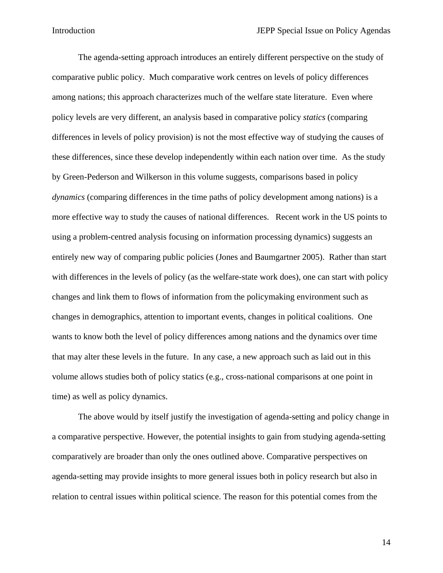The agenda-setting approach introduces an entirely different perspective on the study of comparative public policy. Much comparative work centres on levels of policy differences among nations; this approach characterizes much of the welfare state literature. Even where policy levels are very different, an analysis based in comparative policy *statics* (comparing differences in levels of policy provision) is not the most effective way of studying the causes of these differences, since these develop independently within each nation over time. As the study by Green-Pederson and Wilkerson in this volume suggests, comparisons based in policy *dynamics* (comparing differences in the time paths of policy development among nations) is a more effective way to study the causes of national differences. Recent work in the US points to using a problem-centred analysis focusing on information processing dynamics) suggests an entirely new way of comparing public policies (Jones and Baumgartner 2005). Rather than start with differences in the levels of policy (as the welfare-state work does), one can start with policy changes and link them to flows of information from the policymaking environment such as changes in demographics, attention to important events, changes in political coalitions. One wants to know both the level of policy differences among nations and the dynamics over time that may alter these levels in the future. In any case, a new approach such as laid out in this volume allows studies both of policy statics (e.g., cross-national comparisons at one point in time) as well as policy dynamics.

The above would by itself justify the investigation of agenda-setting and policy change in a comparative perspective. However, the potential insights to gain from studying agenda-setting comparatively are broader than only the ones outlined above. Comparative perspectives on agenda-setting may provide insights to more general issues both in policy research but also in relation to central issues within political science. The reason for this potential comes from the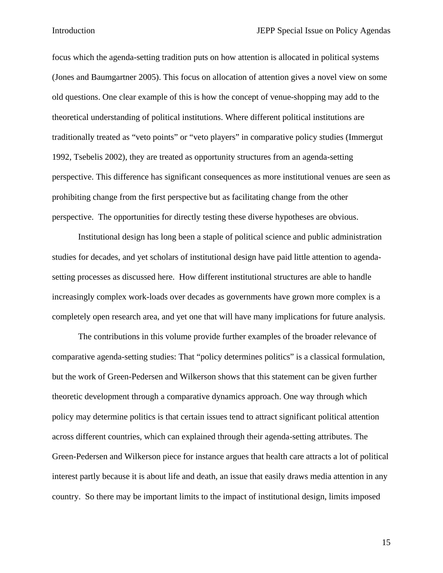focus which the agenda-setting tradition puts on how attention is allocated in political systems (Jones and Baumgartner 2005). This focus on allocation of attention gives a novel view on some old questions. One clear example of this is how the concept of venue-shopping may add to the theoretical understanding of political institutions. Where different political institutions are traditionally treated as "veto points" or "veto players" in comparative policy studies (Immergut 1992, Tsebelis 2002), they are treated as opportunity structures from an agenda-setting perspective. This difference has significant consequences as more institutional venues are seen as prohibiting change from the first perspective but as facilitating change from the other perspective. The opportunities for directly testing these diverse hypotheses are obvious.

Institutional design has long been a staple of political science and public administration studies for decades, and yet scholars of institutional design have paid little attention to agendasetting processes as discussed here. How different institutional structures are able to handle increasingly complex work-loads over decades as governments have grown more complex is a completely open research area, and yet one that will have many implications for future analysis.

The contributions in this volume provide further examples of the broader relevance of comparative agenda-setting studies: That "policy determines politics" is a classical formulation, but the work of Green-Pedersen and Wilkerson shows that this statement can be given further theoretic development through a comparative dynamics approach. One way through which policy may determine politics is that certain issues tend to attract significant political attention across different countries, which can explained through their agenda-setting attributes. The Green-Pedersen and Wilkerson piece for instance argues that health care attracts a lot of political interest partly because it is about life and death, an issue that easily draws media attention in any country. So there may be important limits to the impact of institutional design, limits imposed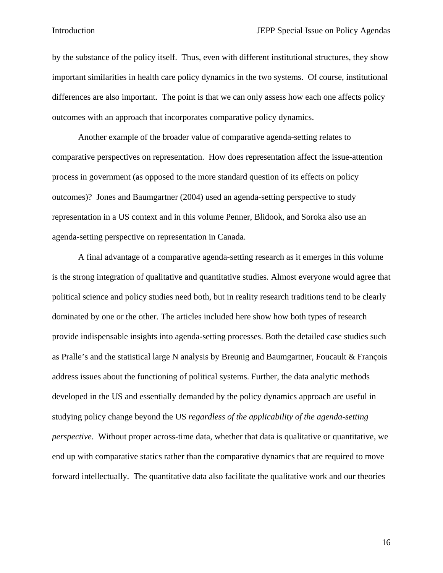by the substance of the policy itself. Thus, even with different institutional structures, they show important similarities in health care policy dynamics in the two systems. Of course, institutional differences are also important. The point is that we can only assess how each one affects policy outcomes with an approach that incorporates comparative policy dynamics.

Another example of the broader value of comparative agenda-setting relates to comparative perspectives on representation. How does representation affect the issue-attention process in government (as opposed to the more standard question of its effects on policy outcomes)? Jones and Baumgartner (2004) used an agenda-setting perspective to study representation in a US context and in this volume Penner, Blidook, and Soroka also use an agenda-setting perspective on representation in Canada.

A final advantage of a comparative agenda-setting research as it emerges in this volume is the strong integration of qualitative and quantitative studies. Almost everyone would agree that political science and policy studies need both, but in reality research traditions tend to be clearly dominated by one or the other. The articles included here show how both types of research provide indispensable insights into agenda-setting processes. Both the detailed case studies such as Pralle's and the statistical large N analysis by Breunig and Baumgartner, Foucault & François address issues about the functioning of political systems. Further, the data analytic methods developed in the US and essentially demanded by the policy dynamics approach are useful in studying policy change beyond the US *regardless of the applicability of the agenda-setting perspective.* Without proper across-time data, whether that data is qualitative or quantitative, we end up with comparative statics rather than the comparative dynamics that are required to move forward intellectually. The quantitative data also facilitate the qualitative work and our theories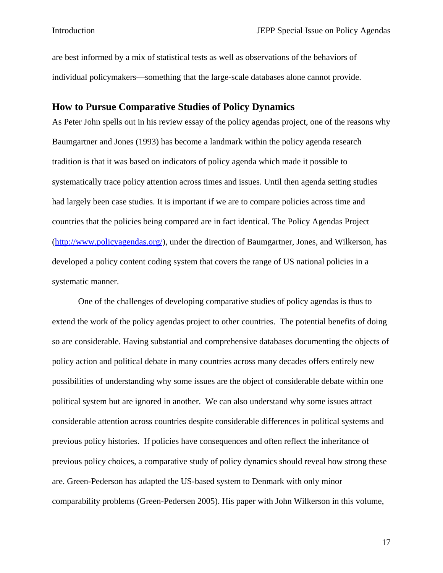are best informed by a mix of statistical tests as well as observations of the behaviors of individual policymakers—something that the large-scale databases alone cannot provide.

# **How to Pursue Comparative Studies of Policy Dynamics**

As Peter John spells out in his review essay of the policy agendas project, one of the reasons why Baumgartner and Jones (1993) has become a landmark within the policy agenda research tradition is that it was based on indicators of policy agenda which made it possible to systematically trace policy attention across times and issues. Until then agenda setting studies had largely been case studies. It is important if we are to compare policies across time and countries that the policies being compared are in fact identical. The Policy Agendas Project ([http://www.policyagendas.org/\)](http://www.policyagendas.org/), under the direction of Baumgartner, Jones, and Wilkerson, has developed a policy content coding system that covers the range of US national policies in a systematic manner.

One of the challenges of developing comparative studies of policy agendas is thus to extend the work of the policy agendas project to other countries. The potential benefits of doing so are considerable. Having substantial and comprehensive databases documenting the objects of policy action and political debate in many countries across many decades offers entirely new possibilities of understanding why some issues are the object of considerable debate within one political system but are ignored in another. We can also understand why some issues attract considerable attention across countries despite considerable differences in political systems and previous policy histories. If policies have consequences and often reflect the inheritance of previous policy choices, a comparative study of policy dynamics should reveal how strong these are. Green-Pederson has adapted the US-based system to Denmark with only minor comparability problems (Green-Pedersen 2005). His paper with John Wilkerson in this volume,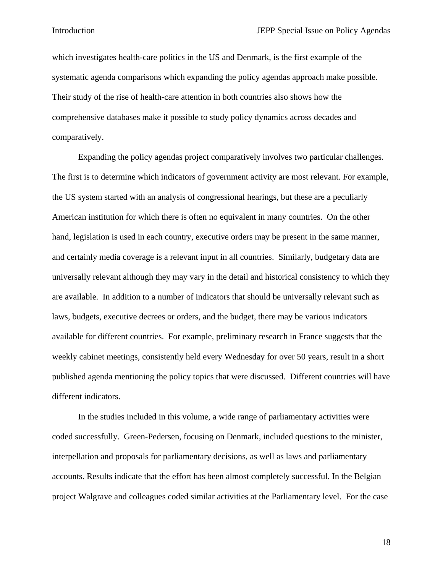which investigates health-care politics in the US and Denmark, is the first example of the systematic agenda comparisons which expanding the policy agendas approach make possible. Their study of the rise of health-care attention in both countries also shows how the comprehensive databases make it possible to study policy dynamics across decades and comparatively.

Expanding the policy agendas project comparatively involves two particular challenges. The first is to determine which indicators of government activity are most relevant. For example, the US system started with an analysis of congressional hearings, but these are a peculiarly American institution for which there is often no equivalent in many countries. On the other hand, legislation is used in each country, executive orders may be present in the same manner, and certainly media coverage is a relevant input in all countries. Similarly, budgetary data are universally relevant although they may vary in the detail and historical consistency to which they are available. In addition to a number of indicators that should be universally relevant such as laws, budgets, executive decrees or orders, and the budget, there may be various indicators available for different countries. For example, preliminary research in France suggests that the weekly cabinet meetings, consistently held every Wednesday for over 50 years, result in a short published agenda mentioning the policy topics that were discussed. Different countries will have different indicators.

In the studies included in this volume, a wide range of parliamentary activities were coded successfully. Green-Pedersen, focusing on Denmark, included questions to the minister, interpellation and proposals for parliamentary decisions, as well as laws and parliamentary accounts. Results indicate that the effort has been almost completely successful. In the Belgian project Walgrave and colleagues coded similar activities at the Parliamentary level. For the case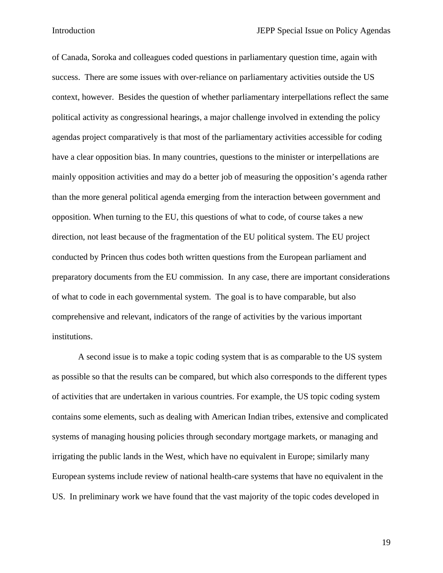of Canada, Soroka and colleagues coded questions in parliamentary question time, again with success. There are some issues with over-reliance on parliamentary activities outside the US context, however. Besides the question of whether parliamentary interpellations reflect the same political activity as congressional hearings, a major challenge involved in extending the policy agendas project comparatively is that most of the parliamentary activities accessible for coding have a clear opposition bias. In many countries, questions to the minister or interpellations are mainly opposition activities and may do a better job of measuring the opposition's agenda rather than the more general political agenda emerging from the interaction between government and opposition. When turning to the EU, this questions of what to code, of course takes a new direction, not least because of the fragmentation of the EU political system. The EU project conducted by Princen thus codes both written questions from the European parliament and preparatory documents from the EU commission. In any case, there are important considerations of what to code in each governmental system. The goal is to have comparable, but also comprehensive and relevant, indicators of the range of activities by the various important institutions.

A second issue is to make a topic coding system that is as comparable to the US system as possible so that the results can be compared, but which also corresponds to the different types of activities that are undertaken in various countries. For example, the US topic coding system contains some elements, such as dealing with American Indian tribes, extensive and complicated systems of managing housing policies through secondary mortgage markets, or managing and irrigating the public lands in the West, which have no equivalent in Europe; similarly many European systems include review of national health-care systems that have no equivalent in the US. In preliminary work we have found that the vast majority of the topic codes developed in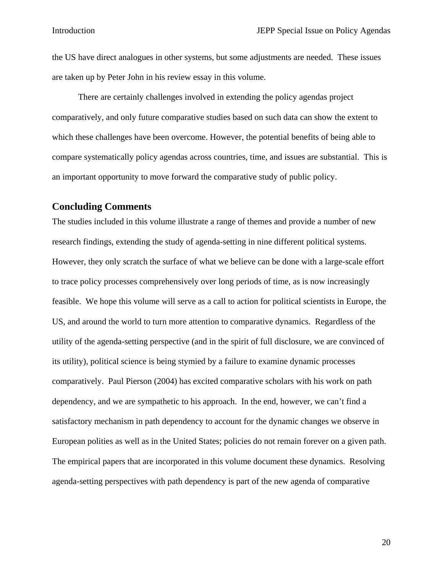the US have direct analogues in other systems, but some adjustments are needed. These issues are taken up by Peter John in his review essay in this volume.

There are certainly challenges involved in extending the policy agendas project comparatively, and only future comparative studies based on such data can show the extent to which these challenges have been overcome. However, the potential benefits of being able to compare systematically policy agendas across countries, time, and issues are substantial. This is an important opportunity to move forward the comparative study of public policy.

# **Concluding Comments**

The studies included in this volume illustrate a range of themes and provide a number of new research findings, extending the study of agenda-setting in nine different political systems. However, they only scratch the surface of what we believe can be done with a large-scale effort to trace policy processes comprehensively over long periods of time, as is now increasingly feasible. We hope this volume will serve as a call to action for political scientists in Europe, the US, and around the world to turn more attention to comparative dynamics. Regardless of the utility of the agenda-setting perspective (and in the spirit of full disclosure, we are convinced of its utility), political science is being stymied by a failure to examine dynamic processes comparatively. Paul Pierson (2004) has excited comparative scholars with his work on path dependency, and we are sympathetic to his approach. In the end, however, we can't find a satisfactory mechanism in path dependency to account for the dynamic changes we observe in European polities as well as in the United States; policies do not remain forever on a given path. The empirical papers that are incorporated in this volume document these dynamics. Resolving agenda-setting perspectives with path dependency is part of the new agenda of comparative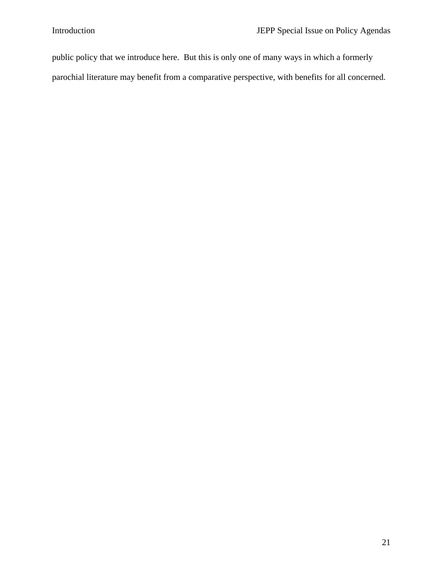public policy that we introduce here. But this is only one of many ways in which a formerly parochial literature may benefit from a comparative perspective, with benefits for all concerned.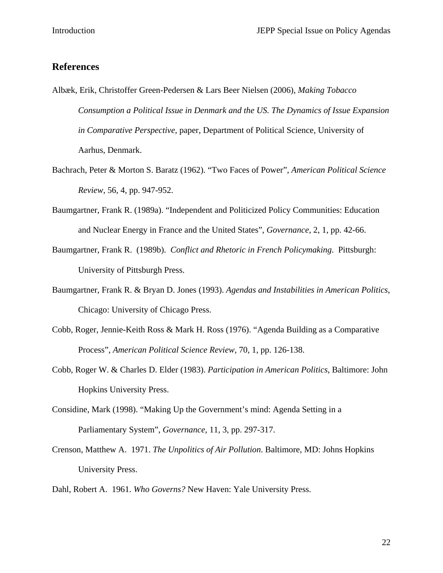# **References**

- Albæk, Erik, Christoffer Green-Pedersen & Lars Beer Nielsen (2006), *Making Tobacco Consumption a Political Issue in Denmark and the US. The Dynamics of Issue Expansion in Comparative Perspective*, paper, Department of Political Science, University of Aarhus, Denmark.
- Bachrach, Peter & Morton S. Baratz (1962). "Two Faces of Power", *American Political Science Review,* 56, 4, pp. 947-952.
- Baumgartner, Frank R. (1989a). "Independent and Politicized Policy Communities: Education and Nuclear Energy in France and the United States", *Governance,* 2, 1, pp. 42-66.
- Baumgartner, Frank R. (1989b). *Conflict and Rhetoric in French Policymaking*. Pittsburgh: University of Pittsburgh Press.
- Baumgartner, Frank R. & Bryan D. Jones (1993). *Agendas and Instabilities in American Politics*, Chicago: University of Chicago Press.
- Cobb, Roger, Jennie-Keith Ross & Mark H. Ross (1976). "Agenda Building as a Comparative Process", *American Political Science Review,* 70, 1, pp. 126-138.
- Cobb, Roger W. & Charles D. Elder (1983). *Participation in American Politics*, Baltimore: John Hopkins University Press.
- Considine, Mark (1998). "Making Up the Government's mind: Agenda Setting in a Parliamentary System", *Governance,* 11, 3, pp. 297-317.
- Crenson, Matthew A. 1971. *The Unpolitics of Air Pollution*. Baltimore, MD: Johns Hopkins University Press.
- Dahl, Robert A. 1961. *Who Governs?* New Haven: Yale University Press.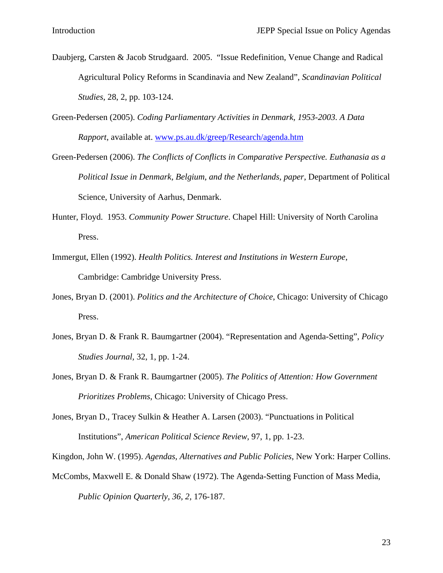- Daubjerg, Carsten & Jacob Strudgaard. 2005. "Issue Redefinition, Venue Change and Radical Agricultural Policy Reforms in Scandinavia and New Zealand", *Scandinavian Political Studies*, 28, 2, pp. 103-124.
- Green-Pedersen (2005). *Coding Parliamentary Activities in Denmark, 1953-2003. A Data Rapport*, available at. [www.ps.au.dk/greep/Research/agenda.htm](http://www.ps.au.dk/greep/Research/agenda.htm)
- Green-Pedersen (2006). *The Conflicts of Conflicts in Comparative Perspective. Euthanasia as a Political Issue in Denmark, Belgium, and the Netherlands, paper*, Department of Political Science, University of Aarhus, Denmark.
- Hunter, Floyd. 1953. *Community Power Structure*. Chapel Hill: University of North Carolina Press.
- Immergut, Ellen (1992). *Health Politics. Interest and Institutions in Western Europe*, Cambridge: Cambridge University Press.
- Jones, Bryan D. (2001). *Politics and the Architecture of Choice*, Chicago: University of Chicago Press.
- Jones, Bryan D. & Frank R. Baumgartner (2004). "Representation and Agenda-Setting", *Policy Studies Journal,* 32, 1, pp. 1-24.
- Jones, Bryan D. & Frank R. Baumgartner (2005). *The Politics of Attention: How Government Prioritizes Problems*, Chicago: University of Chicago Press.
- Jones, Bryan D., Tracey Sulkin & Heather A. Larsen (2003). "Punctuations in Political Institutions", *American Political Science Review,* 97, 1, pp. 1-23.
- Kingdon, John W. (1995). *Agendas, Alternatives and Public Policies*, New York: Harper Collins.
- McCombs, Maxwell E. & Donald Shaw (1972). The Agenda-Setting Function of Mass Media, *Public Opinion Quarterly, 36, 2,* 176-187.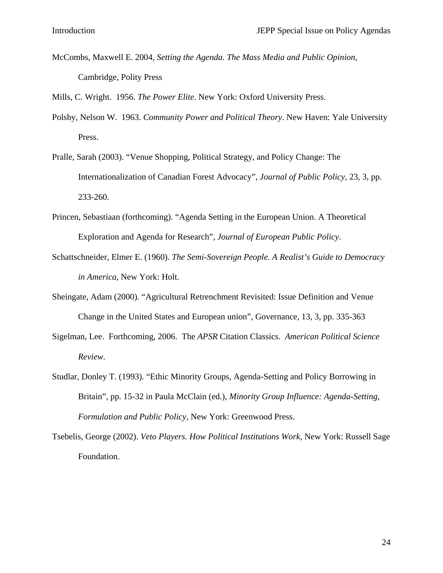McCombs, Maxwell E. 2004, *Setting the Agenda. The Mass Media and Public Opinion*, Cambridge, Polity Press

Mills, C. Wright. 1956. *The Power Elite*. New York: Oxford University Press.

- Polsby, Nelson W. 1963. *Community Power and Political Theory*. New Haven: Yale University Press.
- Pralle, Sarah (2003). "Venue Shopping, Political Strategy, and Policy Change: The Internationalization of Canadian Forest Advocacy", *Journal of Public Policy,* 23, 3, pp. 233-260.
- Princen, Sebastiaan (forthcoming). "Agenda Setting in the European Union. A Theoretical Exploration and Agenda for Research", *Journal of European Public Policy*.
- Schattschneider, Elmer E. (1960). *The Semi-Sovereign People. A Realist's Guide to Democracy in America*, New York: Holt.
- Sheingate, Adam (2000). "Agricultural Retrenchment Revisited: Issue Definition and Venue Change in the United States and European union", Governance, 13, 3, pp. 335-363
- Sigelman, Lee. Forthcoming, 2006. The *APSR* Citation Classics. *American Political Science Review*.
- Studlar, Donley T. (1993). "Ethic Minority Groups, Agenda-Setting and Policy Borrowing in Britain", pp. 15-32 in Paula McClain (ed.), *Minority Group Influence: Agenda-Setting, Formulation and Public Policy*, New York: Greenwood Press.
- Tsebelis, George (2002). *Veto Players. How Political Institutions Work*, New York: Russell Sage Foundation.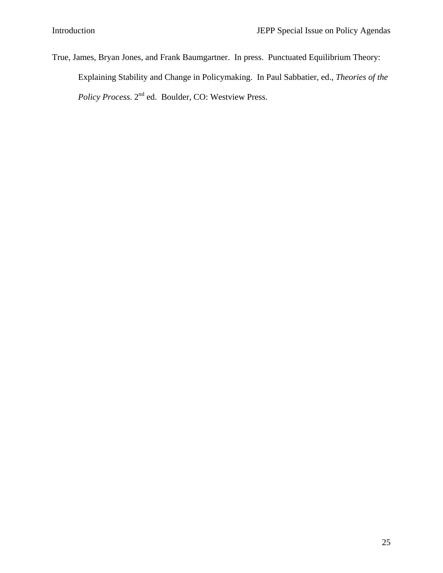True, James, Bryan Jones, and Frank Baumgartner. In press. Punctuated Equilibrium Theory: Explaining Stability and Change in Policymaking. In Paul Sabbatier, ed., *Theories of the Policy Process*. 2nd ed. Boulder, CO: Westview Press.